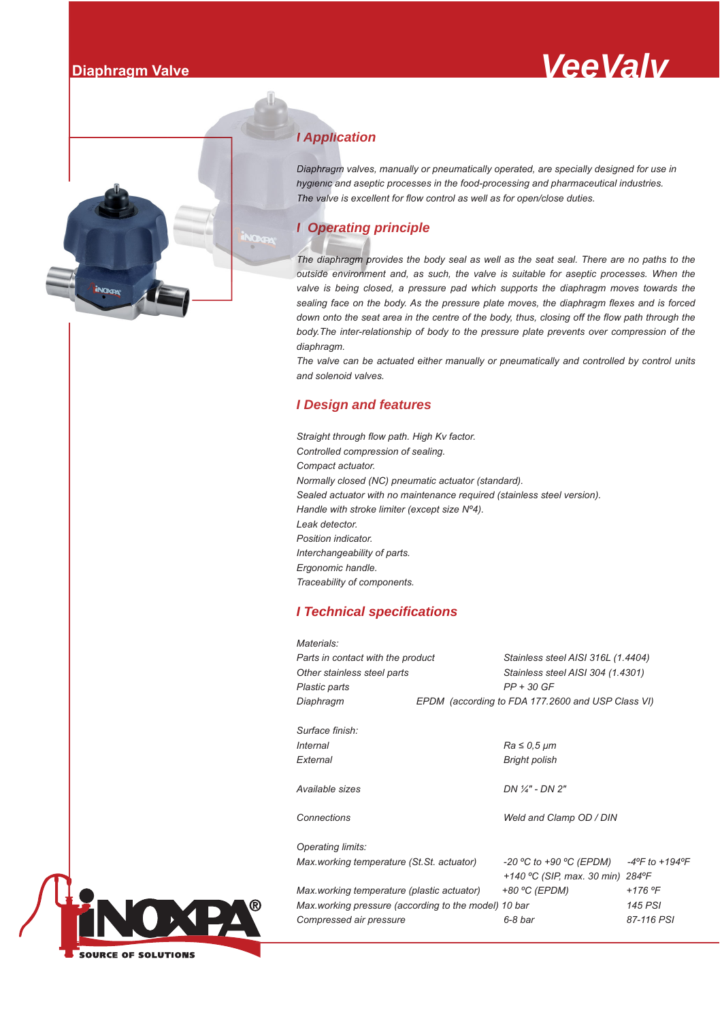



# *I Application*

*Diaphragm valves, manually or pneumatically operated, are specially designed for use in valves hygienic and aseptic processes in the food-processing and pharmaceutical industries.* The valve is excellent for flow control as well as for open/close duties.

## *I* Operating principle

*The diaphragm provides the body seal as well as the seat seal. There are no paths to the The pr outside environment and, as such, the valve is suitable for aseptic processes. When the valve is being closed, a pressure pad which supports the diaphragm moves towards the sealing face on the body. As the pressure plate moves, the diaphragm flexes and is forced down onto the seat area in the centre of the body, thus, closing off the flow path through the body.The inter-relationship of body to the pressure plate prevents over compression of the diaphragm.*

*The valve can be actuated either manually or pneumatically and controlled by control units and solenoid valves.*

## *I Design and features*

*Straight through flow path. High Kv factor. Controlled compression of sealing. Compact actuator. Normally closed (NC) pneumatic actuator (standard). Sealed actuator with no maintenance required (stainless steel version). Handle with stroke limiter (except size Nº4). Leak detector. Position indicator. Interchangeability of parts. Ergonomic handle. Traceability of components.*

## *I Technical specifications*

| Materials:                                           |                                                                                                   |
|------------------------------------------------------|---------------------------------------------------------------------------------------------------|
| Parts in contact with the product                    | Stainless steel AISI 316L (1.4404)                                                                |
| Other stainless steel parts                          | Stainless steel AISI 304 (1.4301)                                                                 |
| Plastic parts                                        | $PP + 30$ GF                                                                                      |
| Diaphragm                                            | EPDM (according to FDA 177.2600 and USP Class VI)                                                 |
| Surface finish:                                      |                                                                                                   |
| <i>Internal</i>                                      | $Ra \leq 0.5 \ \mu m$                                                                             |
| External                                             | Bright polish                                                                                     |
| Available sizes                                      | DN 1/4" - DN 2"                                                                                   |
| Connections                                          | Weld and Clamp OD / DIN                                                                           |
| Operating limits:                                    |                                                                                                   |
| Max working temperature (St.St. actuator)            | -20 °C to +90 °C (EPDM)<br>$-4^{\circ}$ F to $+194^{\circ}$ F<br>+140 °C (SIP, max. 30 min) 284°F |
| Max working temperature (plastic actuator)           | +80 °C (EPDM)<br>$+176 °F$                                                                        |
| Max working pressure (according to the model) 10 bar | 145 PSI                                                                                           |
| Compressed air pressure                              | 6-8 bar<br>87-116 PSI                                                                             |
|                                                      |                                                                                                   |

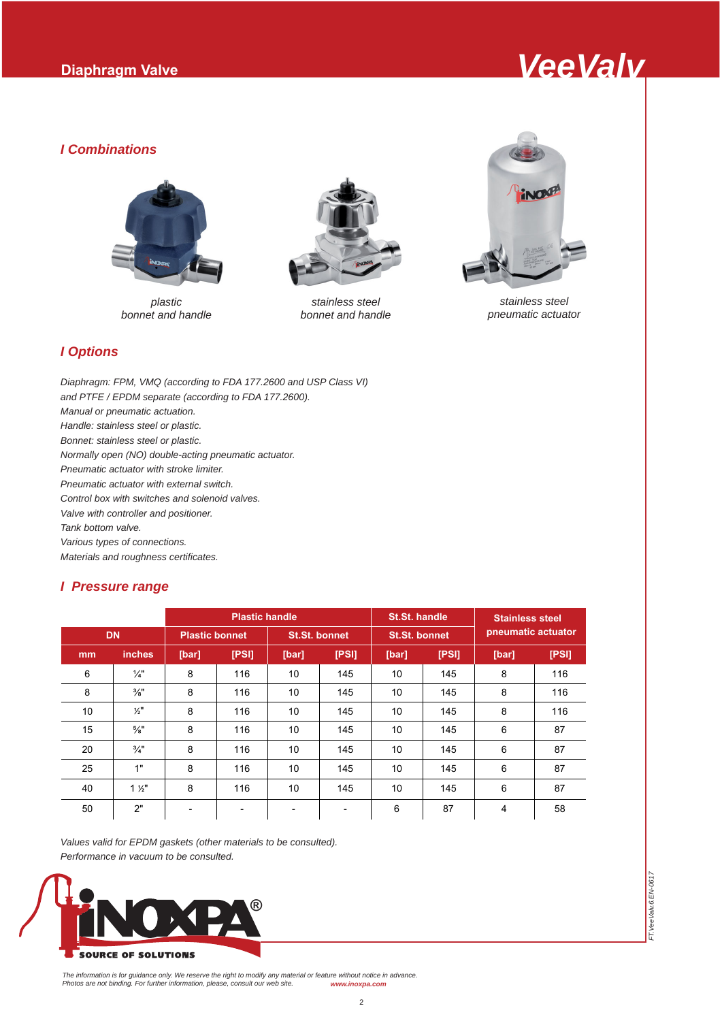

## *I Combinations*



*plastic bonnet and handle*



*stainless steel bonnet and handle*



*stainless steel pneumatic actuator*

*FT.VeeValv.6.EN-0617*

FT. VeeValv.6. EN-061

# *I Options*

*Diaphragm: FPM, VMQ (according to FDA 177.2600 and USP Class VI) and PTFE / EPDM separate (according to FDA 177.2600). Manual or pneumatic actuation. Handle: stainless steel or plastic. Bonnet: stainless steel or plastic. Normally open (NO) double-acting pneumatic actuator. Pneumatic actuator with stroke limiter. Pneumatic actuator with external switch. Control box with switches and solenoid valves. Valve with controller and positioner. Tank bottom valve. Various types of connections. Materials and roughness certificates.*

## *I Pressure range*

|           |                 |                          | <b>Plastic handle</b> |       |                          | <b>St.St. handle</b> |       | <b>Stainless steel</b> |       |  |
|-----------|-----------------|--------------------------|-----------------------|-------|--------------------------|----------------------|-------|------------------------|-------|--|
| <b>DN</b> |                 | <b>Plastic bonnet</b>    |                       |       | <b>St.St. bonnet</b>     | <b>St.St. bonnet</b> |       | pneumatic actuator     |       |  |
| mm        | <i>inches</i>   | [bar]                    | [PSI]                 | [bar] | [PS]                     | [bar]                | [PSI] | [bar]                  | [PSI] |  |
| 6         | $\frac{1}{4}$   | 8                        | 116                   | 10    | 145                      | 10                   | 145   | 8                      | 116   |  |
| 8         | $\frac{3}{8}$ " | 8                        | 116                   | 10    | 145                      | 10                   | 145   | 8                      | 116   |  |
| 10        | $\frac{1}{2}$   | 8                        | 116                   | 10    | 145                      | 10                   | 145   | 8                      | 116   |  |
| 15        | $\frac{5}{8}$ " | 8                        | 116                   | 10    | 145                      | 10                   | 145   | 6                      | 87    |  |
| 20        | $\frac{3}{4}$ " | 8                        | 116                   | 10    | 145                      | 10                   | 145   | 6                      | 87    |  |
| 25        | 1"              | 8                        | 116                   | 10    | 145                      | 10                   | 145   | 6                      | 87    |  |
| 40        | $1 \frac{1}{2}$ | 8                        | 116                   | 10    | 145                      | 10                   | 145   | 6                      | 87    |  |
| 50        | 2"              | $\overline{\phantom{a}}$ |                       |       | $\overline{\phantom{a}}$ | 6                    | 87    | 4                      | 58    |  |

*Values valid for EPDM gaskets (other materials to be consulted). Performance in vacuum to be consulted.*



The information is for guidance only. We reserve the right to modify any material or feature without notice in advance.<br>Photos are not binding. For further information, please, consult our web site. www.inoxpa.com